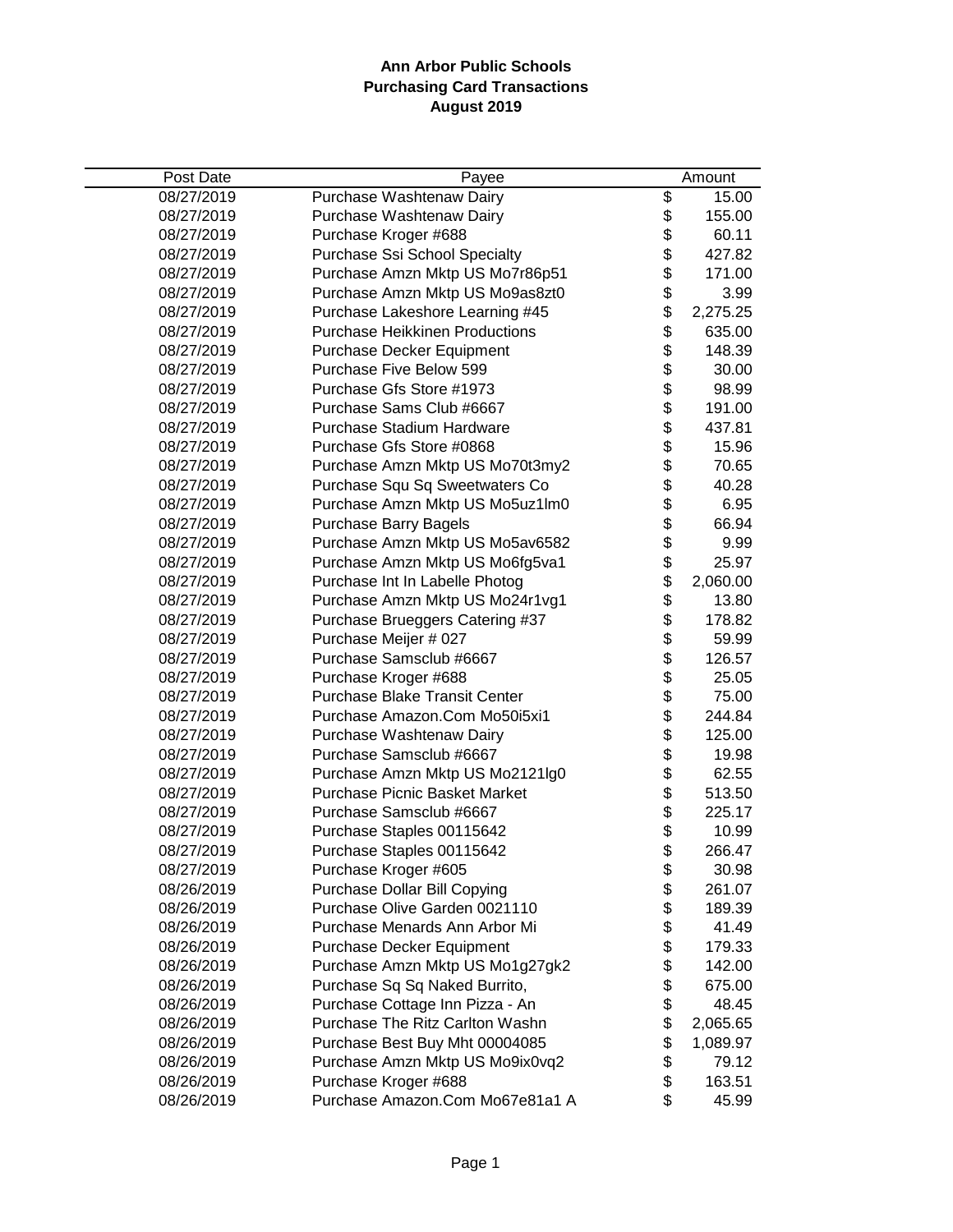| Post Date  | Payee                                 |          | Amount   |
|------------|---------------------------------------|----------|----------|
| 08/27/2019 | Purchase Washtenaw Dairy              | \$       | 15.00    |
| 08/27/2019 | Purchase Washtenaw Dairy              | \$       | 155.00   |
| 08/27/2019 | Purchase Kroger #688                  | \$       | 60.11    |
| 08/27/2019 | Purchase Ssi School Specialty         | \$       | 427.82   |
| 08/27/2019 | Purchase Amzn Mktp US Mo7r86p51       | \$       | 171.00   |
| 08/27/2019 | Purchase Amzn Mktp US Mo9as8zt0       | \$       | 3.99     |
| 08/27/2019 | Purchase Lakeshore Learning #45       | \$       | 2,275.25 |
| 08/27/2019 | <b>Purchase Heikkinen Productions</b> | \$       | 635.00   |
| 08/27/2019 | Purchase Decker Equipment             | \$       | 148.39   |
| 08/27/2019 | Purchase Five Below 599               | \$       | 30.00    |
| 08/27/2019 | Purchase Gfs Store #1973              | \$\$     | 98.99    |
| 08/27/2019 | Purchase Sams Club #6667              |          | 191.00   |
| 08/27/2019 | Purchase Stadium Hardware             |          | 437.81   |
| 08/27/2019 | Purchase Gfs Store #0868              |          | 15.96    |
| 08/27/2019 | Purchase Amzn Mktp US Mo70t3my2       | \$\$     | 70.65    |
| 08/27/2019 | Purchase Squ Sq Sweetwaters Co        |          | 40.28    |
| 08/27/2019 | Purchase Amzn Mktp US Mo5uz1lm0       | \$       | 6.95     |
| 08/27/2019 | <b>Purchase Barry Bagels</b>          | \$       | 66.94    |
| 08/27/2019 | Purchase Amzn Mktp US Mo5av6582       | \$       | 9.99     |
| 08/27/2019 | Purchase Amzn Mktp US Mo6fg5va1       | \$       | 25.97    |
| 08/27/2019 | Purchase Int In Labelle Photog        | \$       | 2,060.00 |
| 08/27/2019 | Purchase Amzn Mktp US Mo24r1vg1       | \$       | 13.80    |
| 08/27/2019 | Purchase Brueggers Catering #37       | \$       | 178.82   |
| 08/27/2019 | Purchase Meijer # 027                 | \$       | 59.99    |
| 08/27/2019 | Purchase Samsclub #6667               | \$       | 126.57   |
| 08/27/2019 | Purchase Kroger #688                  | \$       | 25.05    |
| 08/27/2019 | Purchase Blake Transit Center         | \$       | 75.00    |
| 08/27/2019 | Purchase Amazon.Com Mo50i5xi1         | \$       | 244.84   |
| 08/27/2019 | Purchase Washtenaw Dairy              |          | 125.00   |
| 08/27/2019 | Purchase Samsclub #6667               | \$\$\$\$ | 19.98    |
| 08/27/2019 | Purchase Amzn Mktp US Mo2121lg0       |          | 62.55    |
| 08/27/2019 | <b>Purchase Picnic Basket Market</b>  |          | 513.50   |
| 08/27/2019 | Purchase Samsclub #6667               |          | 225.17   |
| 08/27/2019 | Purchase Staples 00115642             | \$       | 10.99    |
| 08/27/2019 | Purchase Staples 00115642             | \$       | 266.47   |
| 08/27/2019 | Purchase Kroger #605                  | \$       | 30.98    |
| 08/26/2019 | Purchase Dollar Bill Copying          | \$       | 261.07   |
| 08/26/2019 | Purchase Olive Garden 0021110         | \$       | 189.39   |
| 08/26/2019 | Purchase Menards Ann Arbor Mi         | \$       | 41.49    |
| 08/26/2019 | Purchase Decker Equipment             | \$       | 179.33   |
| 08/26/2019 | Purchase Amzn Mktp US Mo1g27gk2       | \$       | 142.00   |
| 08/26/2019 | Purchase Sq Sq Naked Burrito,         | \$       | 675.00   |
| 08/26/2019 | Purchase Cottage Inn Pizza - An       | \$       | 48.45    |
| 08/26/2019 | Purchase The Ritz Carlton Washn       | \$       | 2,065.65 |
| 08/26/2019 | Purchase Best Buy Mht 00004085        | \$       | 1,089.97 |
| 08/26/2019 | Purchase Amzn Mktp US Mo9ix0vq2       | \$       | 79.12    |
| 08/26/2019 | Purchase Kroger #688                  | \$       | 163.51   |
| 08/26/2019 | Purchase Amazon.Com Mo67e81a1 A       | \$       | 45.99    |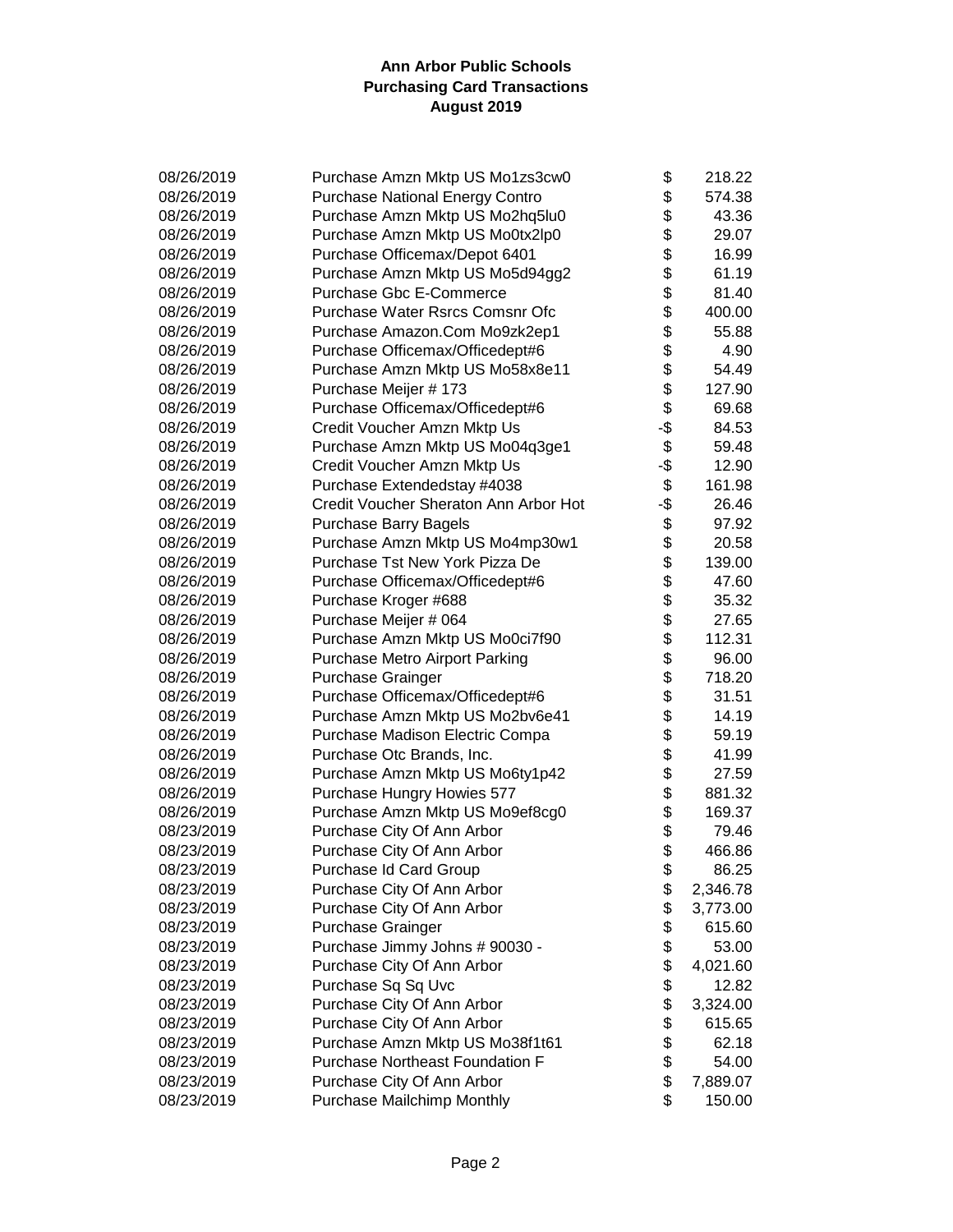| 08/26/2019 | Purchase Amzn Mktp US Mo1zs3cw0        | \$       | 218.22   |
|------------|----------------------------------------|----------|----------|
| 08/26/2019 | <b>Purchase National Energy Contro</b> | \$       | 574.38   |
| 08/26/2019 | Purchase Amzn Mktp US Mo2hq5lu0        | \$       | 43.36    |
| 08/26/2019 | Purchase Amzn Mktp US Mo0tx2lp0        | \$       | 29.07    |
| 08/26/2019 | Purchase Officemax/Depot 6401          | \$       | 16.99    |
| 08/26/2019 | Purchase Amzn Mktp US Mo5d94gg2        | \$       | 61.19    |
| 08/26/2019 | <b>Purchase Gbc E-Commerce</b>         | \$       | 81.40    |
| 08/26/2019 | Purchase Water Rsrcs Comsnr Ofc        | \$       | 400.00   |
| 08/26/2019 | Purchase Amazon.Com Mo9zk2ep1          | \$       | 55.88    |
| 08/26/2019 | Purchase Officemax/Officedept#6        | \$       | 4.90     |
| 08/26/2019 | Purchase Amzn Mktp US Mo58x8e11        | \$       | 54.49    |
| 08/26/2019 | Purchase Meijer # 173                  | \$       | 127.90   |
| 08/26/2019 | Purchase Officemax/Officedept#6        | \$       | 69.68    |
| 08/26/2019 | Credit Voucher Amzn Mktp Us            | -\$      | 84.53    |
| 08/26/2019 | Purchase Amzn Mktp US Mo04q3ge1        | \$       | 59.48    |
| 08/26/2019 | Credit Voucher Amzn Mktp Us            | -\$      | 12.90    |
| 08/26/2019 | Purchase Extendedstay #4038            | \$       | 161.98   |
| 08/26/2019 | Credit Voucher Sheraton Ann Arbor Hot  | -\$      | 26.46    |
| 08/26/2019 | <b>Purchase Barry Bagels</b>           | \$       | 97.92    |
| 08/26/2019 | Purchase Amzn Mktp US Mo4mp30w1        | \$       | 20.58    |
| 08/26/2019 | Purchase Tst New York Pizza De         | \$       | 139.00   |
| 08/26/2019 | Purchase Officemax/Officedept#6        | \$       | 47.60    |
| 08/26/2019 | Purchase Kroger #688                   | \$       | 35.32    |
| 08/26/2019 | Purchase Meijer # 064                  | \$       | 27.65    |
| 08/26/2019 | Purchase Amzn Mktp US Mo0ci7f90        | \$       | 112.31   |
| 08/26/2019 | <b>Purchase Metro Airport Parking</b>  | \$       | 96.00    |
| 08/26/2019 | Purchase Grainger                      | \$       | 718.20   |
| 08/26/2019 | Purchase Officemax/Officedept#6        | \$       | 31.51    |
| 08/26/2019 | Purchase Amzn Mktp US Mo2bv6e41        | \$       | 14.19    |
| 08/26/2019 | Purchase Madison Electric Compa        | \$       | 59.19    |
| 08/26/2019 | Purchase Otc Brands, Inc.              | \$       | 41.99    |
| 08/26/2019 | Purchase Amzn Mktp US Mo6ty1p42        | \$       | 27.59    |
| 08/26/2019 | Purchase Hungry Howies 577             |          | 881.32   |
| 08/26/2019 | Purchase Amzn Mktp US Mo9ef8cg0        | \$<br>\$ | 169.37   |
| 08/23/2019 | Purchase City Of Ann Arbor             |          | 79.46    |
| 08/23/2019 | Purchase City Of Ann Arbor             | \$       | 466.86   |
| 08/23/2019 | Purchase Id Card Group                 | \$       | 86.25    |
| 08/23/2019 | Purchase City Of Ann Arbor             | \$       | 2,346.78 |
| 08/23/2019 | Purchase City Of Ann Arbor             | \$       | 3,773.00 |
| 08/23/2019 | <b>Purchase Grainger</b>               | \$       | 615.60   |
| 08/23/2019 | Purchase Jimmy Johns # 90030 -         | \$       | 53.00    |
| 08/23/2019 | Purchase City Of Ann Arbor             | \$       | 4,021.60 |
| 08/23/2019 | Purchase Sq Sq Uvc                     | \$       | 12.82    |
| 08/23/2019 | Purchase City Of Ann Arbor             | \$       | 3,324.00 |
| 08/23/2019 | Purchase City Of Ann Arbor             | \$       | 615.65   |
| 08/23/2019 | Purchase Amzn Mktp US Mo38f1t61        | \$       | 62.18    |
| 08/23/2019 | <b>Purchase Northeast Foundation F</b> | \$       | 54.00    |
| 08/23/2019 | Purchase City Of Ann Arbor             | \$       | 7,889.07 |
| 08/23/2019 | Purchase Mailchimp Monthly             | \$       | 150.00   |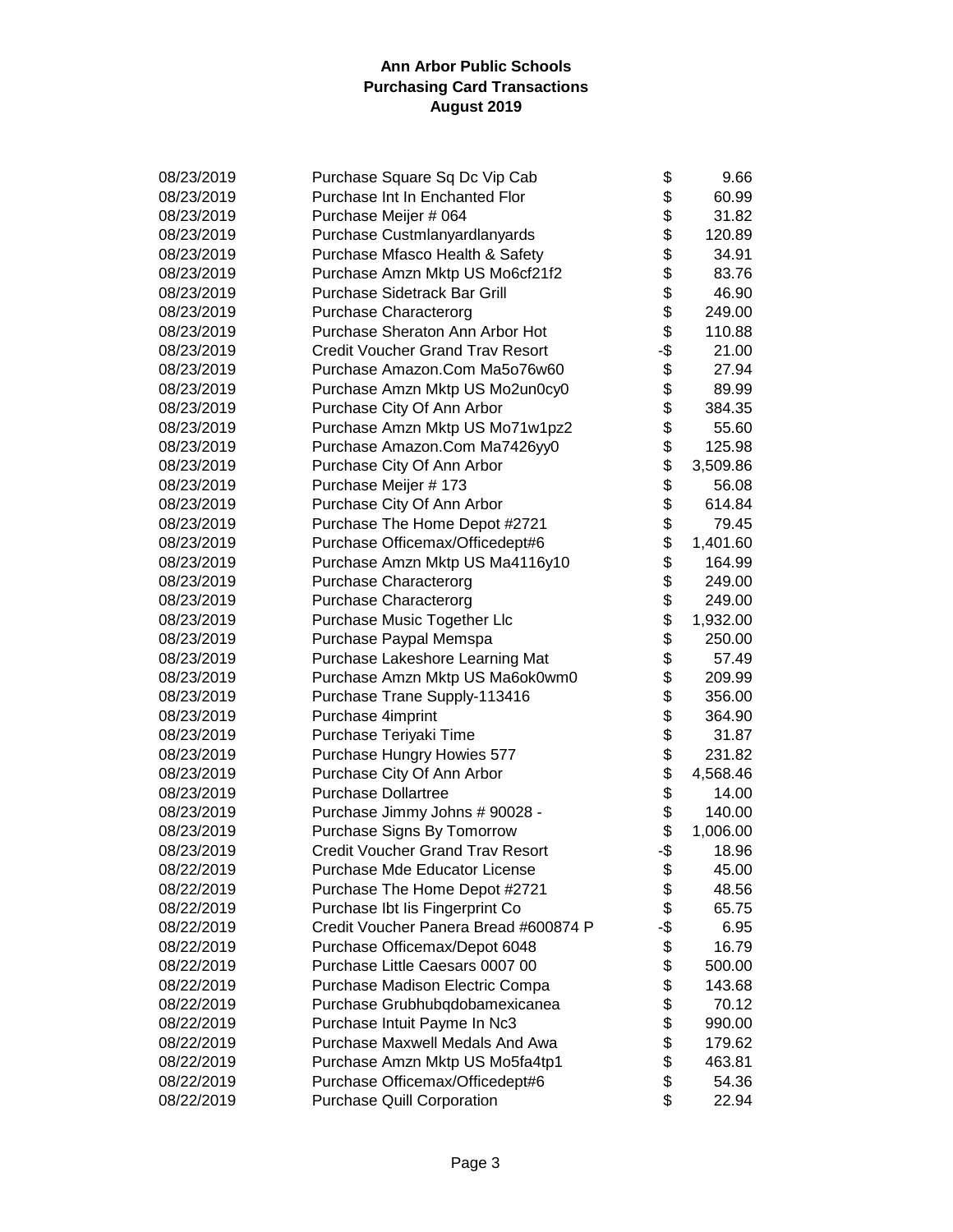| 08/23/2019 | Purchase Square Sq Dc Vip Cab           | \$  | 9.66     |
|------------|-----------------------------------------|-----|----------|
| 08/23/2019 | Purchase Int In Enchanted Flor          | \$  | 60.99    |
| 08/23/2019 | Purchase Meijer # 064                   | \$  | 31.82    |
| 08/23/2019 | Purchase Custmlanyardlanyards           | \$  | 120.89   |
| 08/23/2019 | Purchase Mfasco Health & Safety         | \$  | 34.91    |
| 08/23/2019 | Purchase Amzn Mktp US Mo6cf21f2         | \$  | 83.76    |
| 08/23/2019 | Purchase Sidetrack Bar Grill            | \$  | 46.90    |
| 08/23/2019 | <b>Purchase Characterorg</b>            | \$  | 249.00   |
| 08/23/2019 | Purchase Sheraton Ann Arbor Hot         | \$  | 110.88   |
| 08/23/2019 | <b>Credit Voucher Grand Trav Resort</b> | -\$ | 21.00    |
| 08/23/2019 | Purchase Amazon.Com Ma5o76w60           | \$  | 27.94    |
| 08/23/2019 | Purchase Amzn Mktp US Mo2un0cy0         | \$  | 89.99    |
| 08/23/2019 | Purchase City Of Ann Arbor              | \$  | 384.35   |
| 08/23/2019 | Purchase Amzn Mktp US Mo71w1pz2         | \$  | 55.60    |
| 08/23/2019 | Purchase Amazon.Com Ma7426yy0           | \$  | 125.98   |
| 08/23/2019 | Purchase City Of Ann Arbor              | \$  | 3,509.86 |
| 08/23/2019 | Purchase Meijer # 173                   | \$  | 56.08    |
| 08/23/2019 | Purchase City Of Ann Arbor              | \$  | 614.84   |
| 08/23/2019 | Purchase The Home Depot #2721           | \$  | 79.45    |
| 08/23/2019 | Purchase Officemax/Officedept#6         | \$  | 1,401.60 |
| 08/23/2019 | Purchase Amzn Mktp US Ma4116y10         | \$  | 164.99   |
| 08/23/2019 | <b>Purchase Characterorg</b>            | \$  | 249.00   |
| 08/23/2019 | <b>Purchase Characterorg</b>            | \$  | 249.00   |
| 08/23/2019 | Purchase Music Together Llc             | \$  | 1,932.00 |
| 08/23/2019 | Purchase Paypal Memspa                  | \$  | 250.00   |
| 08/23/2019 | Purchase Lakeshore Learning Mat         | \$  | 57.49    |
| 08/23/2019 | Purchase Amzn Mktp US Ma6ok0wm0         | \$  | 209.99   |
| 08/23/2019 | Purchase Trane Supply-113416            | \$  | 356.00   |
| 08/23/2019 | Purchase 4imprint                       | \$  | 364.90   |
| 08/23/2019 | Purchase Teriyaki Time                  | \$  | 31.87    |
| 08/23/2019 | Purchase Hungry Howies 577              | \$  | 231.82   |
| 08/23/2019 | Purchase City Of Ann Arbor              | \$  | 4,568.46 |
| 08/23/2019 | <b>Purchase Dollartree</b>              | \$  | 14.00    |
| 08/23/2019 | Purchase Jimmy Johns # 90028 -          | \$  | 140.00   |
| 08/23/2019 | Purchase Signs By Tomorrow              | \$  | 1,006.00 |
| 08/23/2019 | <b>Credit Voucher Grand Trav Resort</b> | -\$ | 18.96    |
| 08/22/2019 | Purchase Mde Educator License           | \$  | 45.00    |
| 08/22/2019 | Purchase The Home Depot #2721           | \$  | 48.56    |
| 08/22/2019 | Purchase Ibt lis Fingerprint Co         | \$  | 65.75    |
| 08/22/2019 | Credit Voucher Panera Bread #600874 P   | -\$ | 6.95     |
| 08/22/2019 | Purchase Officemax/Depot 6048           | \$  | 16.79    |
| 08/22/2019 | Purchase Little Caesars 0007 00         | \$  | 500.00   |
| 08/22/2019 | Purchase Madison Electric Compa         | \$  | 143.68   |
| 08/22/2019 | Purchase Grubhubqdobamexicanea          | \$  | 70.12    |
| 08/22/2019 | Purchase Intuit Payme In Nc3            | \$  | 990.00   |
| 08/22/2019 | Purchase Maxwell Medals And Awa         | \$  | 179.62   |
| 08/22/2019 | Purchase Amzn Mktp US Mo5fa4tp1         | \$  | 463.81   |
| 08/22/2019 | Purchase Officemax/Officedept#6         | \$  | 54.36    |
| 08/22/2019 | <b>Purchase Quill Corporation</b>       | \$  | 22.94    |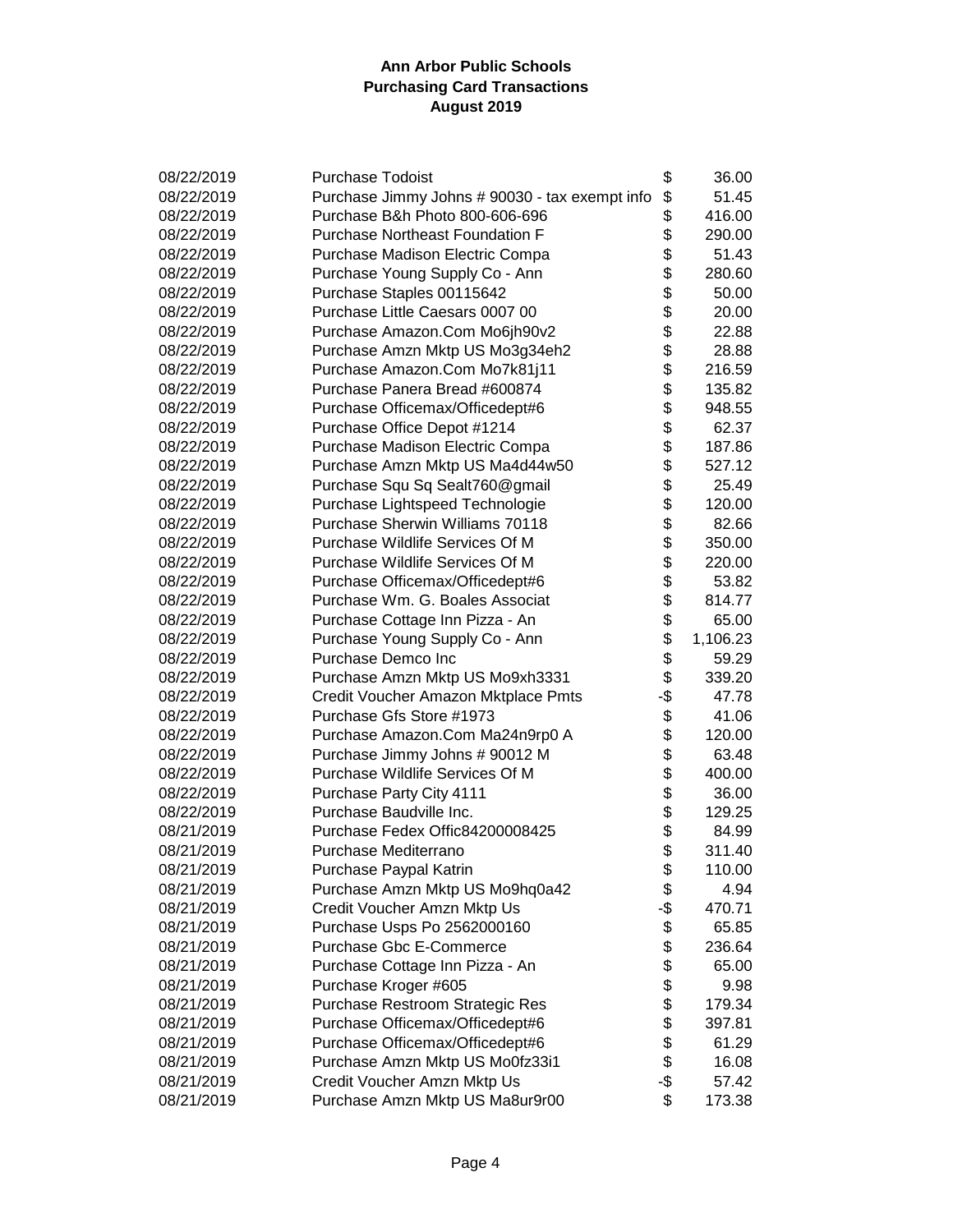| 08/22/2019 | <b>Purchase Todoist</b>                        | \$  | 36.00    |
|------------|------------------------------------------------|-----|----------|
| 08/22/2019 | Purchase Jimmy Johns # 90030 - tax exempt info | \$  | 51.45    |
| 08/22/2019 | Purchase B&h Photo 800-606-696                 | \$  | 416.00   |
| 08/22/2019 | <b>Purchase Northeast Foundation F</b>         | \$  | 290.00   |
| 08/22/2019 | Purchase Madison Electric Compa                | \$  | 51.43    |
| 08/22/2019 | Purchase Young Supply Co - Ann                 | \$  | 280.60   |
| 08/22/2019 | Purchase Staples 00115642                      | \$  | 50.00    |
| 08/22/2019 | Purchase Little Caesars 0007 00                | \$  | 20.00    |
| 08/22/2019 | Purchase Amazon.Com Mo6jh90v2                  | \$  | 22.88    |
| 08/22/2019 | Purchase Amzn Mktp US Mo3g34eh2                | \$  | 28.88    |
| 08/22/2019 | Purchase Amazon.Com Mo7k81j11                  | \$  | 216.59   |
| 08/22/2019 | Purchase Panera Bread #600874                  | \$  | 135.82   |
| 08/22/2019 | Purchase Officemax/Officedept#6                | \$  | 948.55   |
| 08/22/2019 | Purchase Office Depot #1214                    | \$  | 62.37    |
| 08/22/2019 | Purchase Madison Electric Compa                | \$  | 187.86   |
| 08/22/2019 | Purchase Amzn Mktp US Ma4d44w50                | \$  | 527.12   |
| 08/22/2019 | Purchase Squ Sq Sealt760@gmail                 | \$  | 25.49    |
| 08/22/2019 | Purchase Lightspeed Technologie                | \$  | 120.00   |
| 08/22/2019 | Purchase Sherwin Williams 70118                | \$  | 82.66    |
| 08/22/2019 | Purchase Wildlife Services Of M                | \$  | 350.00   |
| 08/22/2019 | Purchase Wildlife Services Of M                | \$  | 220.00   |
| 08/22/2019 | Purchase Officemax/Officedept#6                | \$  | 53.82    |
| 08/22/2019 | Purchase Wm. G. Boales Associat                | \$  | 814.77   |
| 08/22/2019 | Purchase Cottage Inn Pizza - An                | \$  | 65.00    |
| 08/22/2019 | Purchase Young Supply Co - Ann                 | \$  | 1,106.23 |
| 08/22/2019 | Purchase Demco Inc                             | \$  | 59.29    |
| 08/22/2019 | Purchase Amzn Mktp US Mo9xh3331                | \$  | 339.20   |
| 08/22/2019 | Credit Voucher Amazon Mktplace Pmts            | -\$ | 47.78    |
| 08/22/2019 | Purchase Gfs Store #1973                       | \$  | 41.06    |
| 08/22/2019 | Purchase Amazon.Com Ma24n9rp0 A                | \$  | 120.00   |
| 08/22/2019 | Purchase Jimmy Johns # 90012 M                 | \$  | 63.48    |
| 08/22/2019 | Purchase Wildlife Services Of M                | \$  | 400.00   |
| 08/22/2019 | Purchase Party City 4111                       | \$  | 36.00    |
| 08/22/2019 | Purchase Baudville Inc.                        | \$  | 129.25   |
| 08/21/2019 | Purchase Fedex Offic84200008425                | \$  | 84.99    |
| 08/21/2019 | Purchase Mediterrano                           | \$  | 311.40   |
| 08/21/2019 | Purchase Paypal Katrin                         | Φ   | 110.00   |
| 08/21/2019 | Purchase Amzn Mktp US Mo9hq0a42                | \$  | 4.94     |
| 08/21/2019 | Credit Voucher Amzn Mktp Us                    | -\$ | 470.71   |
| 08/21/2019 | Purchase Usps Po 2562000160                    | \$  | 65.85    |
| 08/21/2019 | <b>Purchase Gbc E-Commerce</b>                 | \$  | 236.64   |
| 08/21/2019 | Purchase Cottage Inn Pizza - An                | \$  | 65.00    |
| 08/21/2019 | Purchase Kroger #605                           | \$  | 9.98     |
| 08/21/2019 | Purchase Restroom Strategic Res                | \$  | 179.34   |
| 08/21/2019 | Purchase Officemax/Officedept#6                | \$  | 397.81   |
| 08/21/2019 | Purchase Officemax/Officedept#6                | \$  | 61.29    |
| 08/21/2019 | Purchase Amzn Mktp US Mo0fz33i1                | \$  | 16.08    |
| 08/21/2019 | Credit Voucher Amzn Mktp Us                    | -\$ | 57.42    |
| 08/21/2019 | Purchase Amzn Mktp US Ma8ur9r00                | \$  | 173.38   |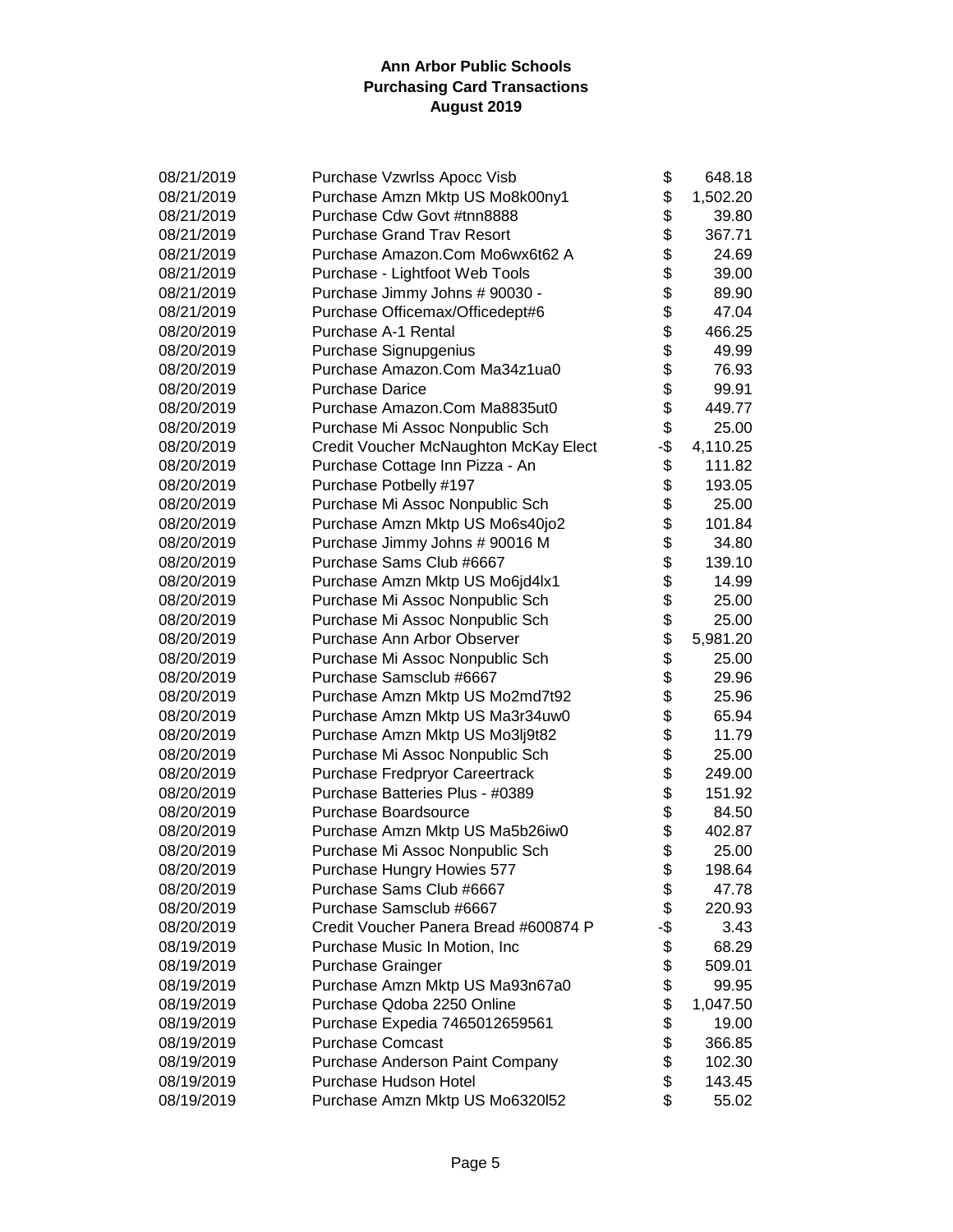| 08/21/2019 | Purchase Vzwrlss Apocc Visb           | \$  | 648.18   |
|------------|---------------------------------------|-----|----------|
| 08/21/2019 | Purchase Amzn Mktp US Mo8k00ny1       | \$  | 1,502.20 |
| 08/21/2019 | Purchase Cdw Govt #tnn8888            | \$  | 39.80    |
| 08/21/2019 | <b>Purchase Grand Trav Resort</b>     | \$  | 367.71   |
| 08/21/2019 | Purchase Amazon.Com Mo6wx6t62 A       | \$  | 24.69    |
| 08/21/2019 | Purchase - Lightfoot Web Tools        | \$  | 39.00    |
| 08/21/2019 | Purchase Jimmy Johns # 90030 -        | \$  | 89.90    |
| 08/21/2019 | Purchase Officemax/Officedept#6       | \$  | 47.04    |
| 08/20/2019 | Purchase A-1 Rental                   | \$  | 466.25   |
| 08/20/2019 | Purchase Signupgenius                 | \$  | 49.99    |
| 08/20/2019 | Purchase Amazon.Com Ma34z1ua0         | \$  | 76.93    |
| 08/20/2019 | <b>Purchase Darice</b>                | \$  | 99.91    |
| 08/20/2019 | Purchase Amazon.Com Ma8835ut0         | \$  | 449.77   |
| 08/20/2019 | Purchase Mi Assoc Nonpublic Sch       | \$  | 25.00    |
| 08/20/2019 | Credit Voucher McNaughton McKay Elect | -\$ | 4,110.25 |
| 08/20/2019 | Purchase Cottage Inn Pizza - An       | \$  | 111.82   |
| 08/20/2019 | Purchase Potbelly #197                | \$  | 193.05   |
| 08/20/2019 | Purchase Mi Assoc Nonpublic Sch       | \$  | 25.00    |
| 08/20/2019 | Purchase Amzn Mktp US Mo6s40jo2       | \$  | 101.84   |
| 08/20/2019 | Purchase Jimmy Johns # 90016 M        | \$  | 34.80    |
| 08/20/2019 | Purchase Sams Club #6667              | \$  | 139.10   |
| 08/20/2019 | Purchase Amzn Mktp US Mo6jd4lx1       | \$  | 14.99    |
| 08/20/2019 | Purchase Mi Assoc Nonpublic Sch       | \$  | 25.00    |
| 08/20/2019 | Purchase Mi Assoc Nonpublic Sch       | \$  | 25.00    |
| 08/20/2019 | Purchase Ann Arbor Observer           | \$  | 5,981.20 |
| 08/20/2019 | Purchase Mi Assoc Nonpublic Sch       | \$  | 25.00    |
| 08/20/2019 | Purchase Samsclub #6667               | \$  | 29.96    |
| 08/20/2019 | Purchase Amzn Mktp US Mo2md7t92       | \$  | 25.96    |
| 08/20/2019 | Purchase Amzn Mktp US Ma3r34uw0       | \$  | 65.94    |
| 08/20/2019 | Purchase Amzn Mktp US Mo3lj9t82       | \$  | 11.79    |
| 08/20/2019 | Purchase Mi Assoc Nonpublic Sch       | \$  | 25.00    |
| 08/20/2019 | Purchase Fredpryor Careertrack        | \$  | 249.00   |
| 08/20/2019 | Purchase Batteries Plus - #0389       | \$  | 151.92   |
| 08/20/2019 | Purchase Boardsource                  | \$  | 84.50    |
| 08/20/2019 | Purchase Amzn Mktp US Ma5b26iw0       | \$  | 402.87   |
| 08/20/2019 | Purchase Mi Assoc Nonpublic Sch       | \$  | 25.00    |
| 08/20/2019 | Purchase Hungry Howies 577            | \$  | 198.64   |
| 08/20/2019 | Purchase Sams Club #6667              | \$  | 47.78    |
| 08/20/2019 | Purchase Samsclub #6667               | \$  | 220.93   |
| 08/20/2019 | Credit Voucher Panera Bread #600874 P | -\$ | 3.43     |
| 08/19/2019 | Purchase Music In Motion, Inc         | \$  | 68.29    |
| 08/19/2019 | <b>Purchase Grainger</b>              | \$  | 509.01   |
| 08/19/2019 | Purchase Amzn Mktp US Ma93n67a0       | \$  | 99.95    |
| 08/19/2019 | Purchase Qdoba 2250 Online            | \$  | 1,047.50 |
| 08/19/2019 | Purchase Expedia 7465012659561        | \$  | 19.00    |
| 08/19/2019 | <b>Purchase Comcast</b>               | \$  | 366.85   |
| 08/19/2019 | Purchase Anderson Paint Company       | \$  | 102.30   |
| 08/19/2019 | Purchase Hudson Hotel                 | \$  | 143.45   |
| 08/19/2019 | Purchase Amzn Mktp US Mo6320152       | \$  | 55.02    |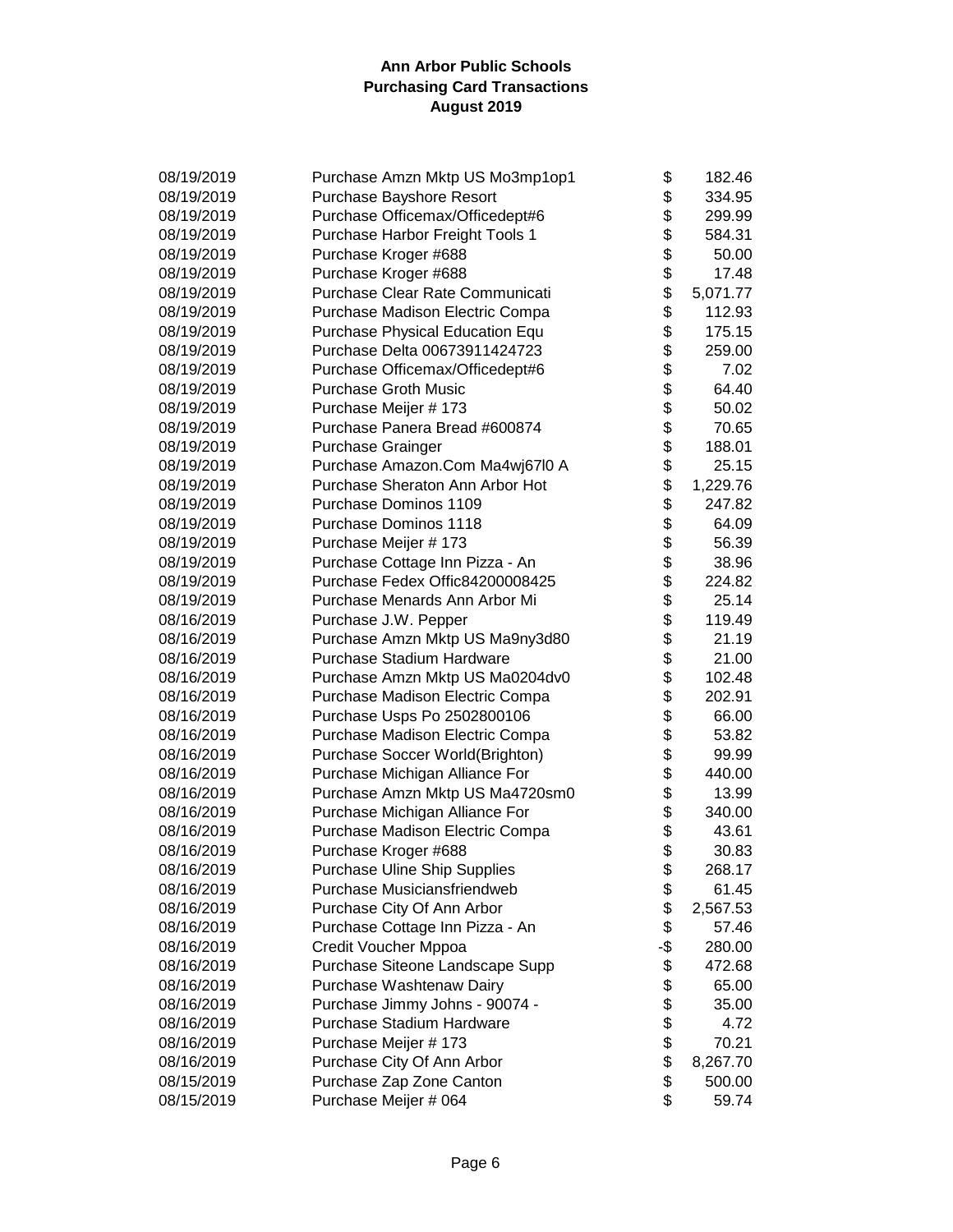| 08/19/2019 | Purchase Amzn Mktp US Mo3mp1op1 | \$       | 182.46   |
|------------|---------------------------------|----------|----------|
| 08/19/2019 | Purchase Bayshore Resort        | \$       | 334.95   |
| 08/19/2019 | Purchase Officemax/Officedept#6 | \$       | 299.99   |
| 08/19/2019 | Purchase Harbor Freight Tools 1 | \$       | 584.31   |
| 08/19/2019 | Purchase Kroger #688            | \$       | 50.00    |
| 08/19/2019 | Purchase Kroger #688            |          | 17.48    |
| 08/19/2019 | Purchase Clear Rate Communicati | \$<br>\$ | 5,071.77 |
| 08/19/2019 | Purchase Madison Electric Compa | \$       | 112.93   |
| 08/19/2019 | Purchase Physical Education Equ | \$       | 175.15   |
| 08/19/2019 | Purchase Delta 00673911424723   | \$       | 259.00   |
| 08/19/2019 | Purchase Officemax/Officedept#6 | \$       | 7.02     |
| 08/19/2019 | <b>Purchase Groth Music</b>     | \$       | 64.40    |
| 08/19/2019 | Purchase Meijer # 173           | \$       | 50.02    |
| 08/19/2019 | Purchase Panera Bread #600874   | \$       | 70.65    |
| 08/19/2019 | <b>Purchase Grainger</b>        | \$       | 188.01   |
| 08/19/2019 | Purchase Amazon.Com Ma4wj67l0 A | \$       | 25.15    |
| 08/19/2019 | Purchase Sheraton Ann Arbor Hot | \$       | 1,229.76 |
| 08/19/2019 | Purchase Dominos 1109           | \$       | 247.82   |
| 08/19/2019 | Purchase Dominos 1118           | \$       | 64.09    |
| 08/19/2019 | Purchase Meijer # 173           | \$       | 56.39    |
| 08/19/2019 | Purchase Cottage Inn Pizza - An | \$       | 38.96    |
| 08/19/2019 | Purchase Fedex Offic84200008425 | \$       | 224.82   |
| 08/19/2019 | Purchase Menards Ann Arbor Mi   | \$       | 25.14    |
| 08/16/2019 | Purchase J.W. Pepper            | \$       | 119.49   |
| 08/16/2019 | Purchase Amzn Mktp US Ma9ny3d80 | \$       | 21.19    |
| 08/16/2019 | Purchase Stadium Hardware       | \$       | 21.00    |
| 08/16/2019 | Purchase Amzn Mktp US Ma0204dv0 | \$       | 102.48   |
| 08/16/2019 | Purchase Madison Electric Compa | \$       | 202.91   |
| 08/16/2019 | Purchase Usps Po 2502800106     | \$       | 66.00    |
| 08/16/2019 | Purchase Madison Electric Compa | \$       | 53.82    |
| 08/16/2019 | Purchase Soccer World(Brighton) | \$       | 99.99    |
| 08/16/2019 | Purchase Michigan Alliance For  | \$       | 440.00   |
| 08/16/2019 | Purchase Amzn Mktp US Ma4720sm0 | \$       | 13.99    |
| 08/16/2019 | Purchase Michigan Alliance For  | \$       | 340.00   |
| 08/16/2019 | Purchase Madison Electric Compa | \$       | 43.61    |
| 08/16/2019 | Purchase Kroger #688            | \$       | 30.83    |
| 08/16/2019 | Purchase Uline Ship Supplies    | \$       | 268.17   |
| 08/16/2019 | Purchase Musiciansfriendweb     | \$       | 61.45    |
| 08/16/2019 | Purchase City Of Ann Arbor      | \$       | 2,567.53 |
| 08/16/2019 | Purchase Cottage Inn Pizza - An | \$       | 57.46    |
| 08/16/2019 | Credit Voucher Mppoa            | -\$      | 280.00   |
| 08/16/2019 | Purchase Siteone Landscape Supp | \$       | 472.68   |
| 08/16/2019 | Purchase Washtenaw Dairy        | \$       | 65.00    |
| 08/16/2019 | Purchase Jimmy Johns - 90074 -  | \$       | 35.00    |
| 08/16/2019 | Purchase Stadium Hardware       | \$       | 4.72     |
| 08/16/2019 | Purchase Meijer # 173           | \$       | 70.21    |
| 08/16/2019 | Purchase City Of Ann Arbor      | \$       | 8,267.70 |
| 08/15/2019 | Purchase Zap Zone Canton        | \$       | 500.00   |
| 08/15/2019 | Purchase Meijer # 064           | \$       | 59.74    |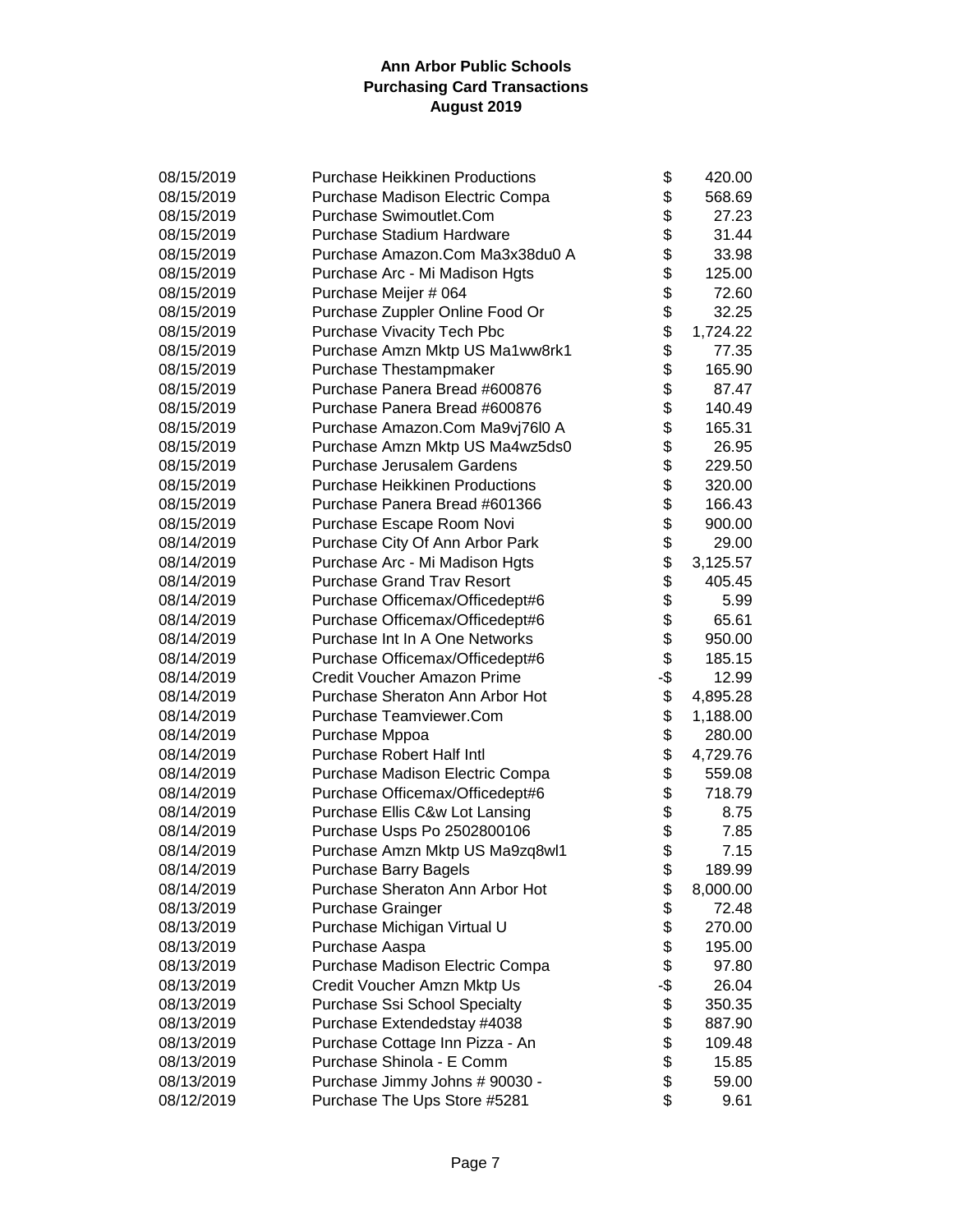| 08/15/2019 | <b>Purchase Heikkinen Productions</b> | \$  | 420.00   |
|------------|---------------------------------------|-----|----------|
| 08/15/2019 | Purchase Madison Electric Compa       | \$  | 568.69   |
| 08/15/2019 | Purchase Swimoutlet.Com               | \$  | 27.23    |
| 08/15/2019 | Purchase Stadium Hardware             | \$  | 31.44    |
| 08/15/2019 | Purchase Amazon.Com Ma3x38du0 A       | \$  | 33.98    |
| 08/15/2019 | Purchase Arc - Mi Madison Hgts        | \$  | 125.00   |
| 08/15/2019 | Purchase Meijer # 064                 | \$  | 72.60    |
| 08/15/2019 | Purchase Zuppler Online Food Or       | \$  | 32.25    |
| 08/15/2019 | Purchase Vivacity Tech Pbc            |     | 1,724.22 |
| 08/15/2019 | Purchase Amzn Mktp US Ma1ww8rk1       | \$  | 77.35    |
| 08/15/2019 | Purchase Thestampmaker                | \$  | 165.90   |
| 08/15/2019 | Purchase Panera Bread #600876         | \$  | 87.47    |
| 08/15/2019 | Purchase Panera Bread #600876         | \$  | 140.49   |
| 08/15/2019 | Purchase Amazon.Com Ma9vj76l0 A       | \$  | 165.31   |
| 08/15/2019 | Purchase Amzn Mktp US Ma4wz5ds0       | \$  | 26.95    |
| 08/15/2019 | Purchase Jerusalem Gardens            | \$  | 229.50   |
| 08/15/2019 | <b>Purchase Heikkinen Productions</b> | \$  | 320.00   |
| 08/15/2019 | Purchase Panera Bread #601366         | \$  | 166.43   |
| 08/15/2019 | Purchase Escape Room Novi             | \$  | 900.00   |
| 08/14/2019 | Purchase City Of Ann Arbor Park       | \$  | 29.00    |
| 08/14/2019 | Purchase Arc - Mi Madison Hgts        | \$  | 3,125.57 |
| 08/14/2019 | <b>Purchase Grand Trav Resort</b>     | \$  | 405.45   |
| 08/14/2019 | Purchase Officemax/Officedept#6       | \$  | 5.99     |
| 08/14/2019 | Purchase Officemax/Officedept#6       | \$  | 65.61    |
| 08/14/2019 | Purchase Int In A One Networks        | \$  | 950.00   |
| 08/14/2019 | Purchase Officemax/Officedept#6       | \$  | 185.15   |
| 08/14/2019 | Credit Voucher Amazon Prime           | -\$ | 12.99    |
| 08/14/2019 | Purchase Sheraton Ann Arbor Hot       | \$  | 4,895.28 |
| 08/14/2019 | Purchase Teamviewer.Com               | \$  | 1,188.00 |
| 08/14/2019 | Purchase Mppoa                        | \$  | 280.00   |
| 08/14/2019 | Purchase Robert Half Intl             | \$  | 4,729.76 |
| 08/14/2019 | Purchase Madison Electric Compa       | \$  | 559.08   |
| 08/14/2019 | Purchase Officemax/Officedept#6       | \$  | 718.79   |
| 08/14/2019 | Purchase Ellis C&w Lot Lansing        | \$  | 8.75     |
| 08/14/2019 | Purchase Usps Po 2502800106           | \$  | 7.85     |
| 08/14/2019 | Purchase Amzn Mktp US Ma9zq8wl1       | \$  | 7.15     |
| 08/14/2019 | Purchase Barry Bagels                 | \$  | 189.99   |
| 08/14/2019 | Purchase Sheraton Ann Arbor Hot       | \$  | 8,000.00 |
| 08/13/2019 | <b>Purchase Grainger</b>              | \$  | 72.48    |
| 08/13/2019 | Purchase Michigan Virtual U           | \$  | 270.00   |
| 08/13/2019 | Purchase Aaspa                        | \$  | 195.00   |
| 08/13/2019 | Purchase Madison Electric Compa       | \$  | 97.80    |
| 08/13/2019 | Credit Voucher Amzn Mktp Us           | -\$ | 26.04    |
| 08/13/2019 | Purchase Ssi School Specialty         | \$  | 350.35   |
| 08/13/2019 | Purchase Extendedstay #4038           | \$  | 887.90   |
| 08/13/2019 | Purchase Cottage Inn Pizza - An       | \$  | 109.48   |
| 08/13/2019 | Purchase Shinola - E Comm             | \$  | 15.85    |
| 08/13/2019 | Purchase Jimmy Johns # 90030 -        | \$  | 59.00    |
| 08/12/2019 | Purchase The Ups Store #5281          | \$  | 9.61     |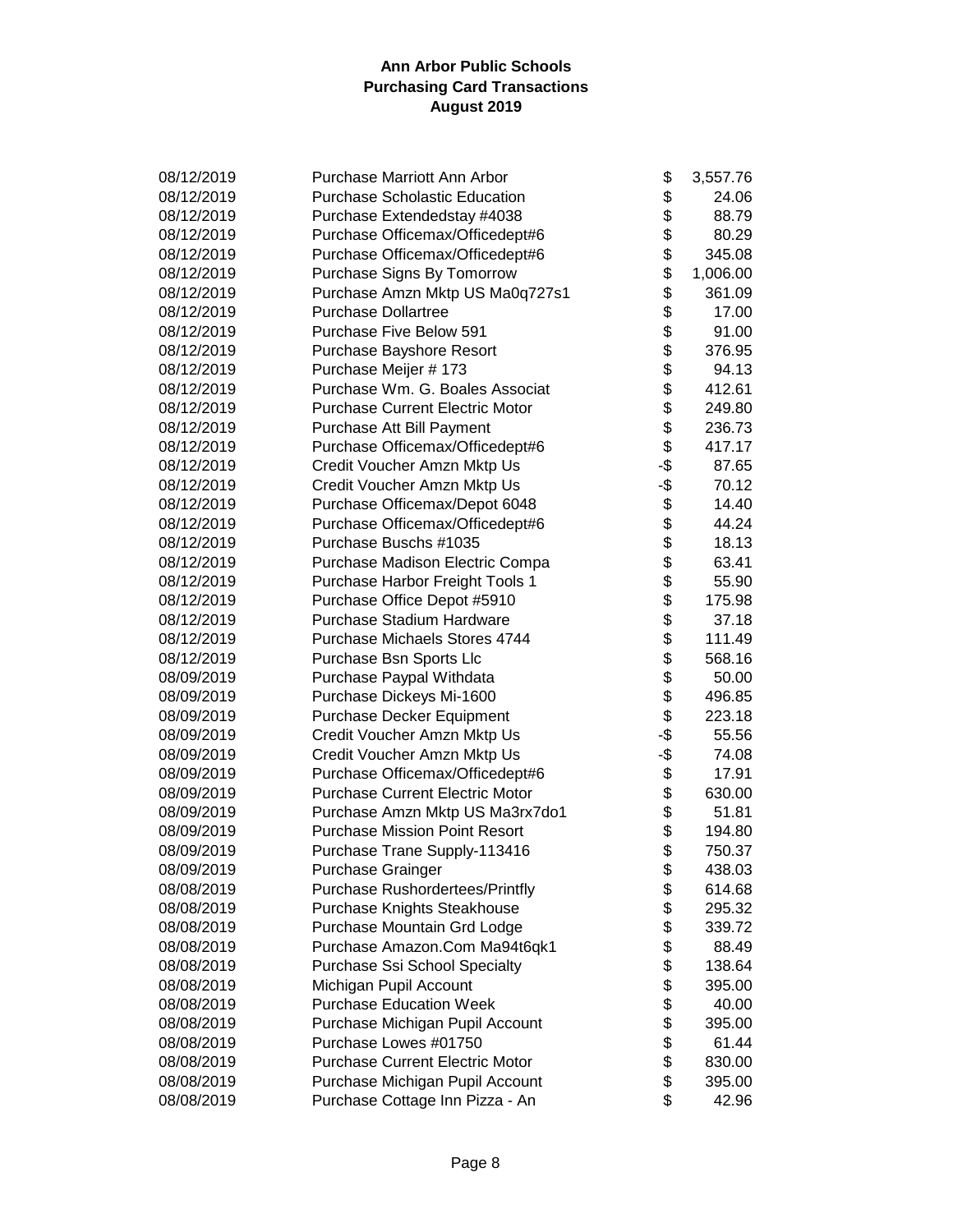| 08/12/2019 | <b>Purchase Marriott Ann Arbor</b>     | \$  | 3,557.76 |
|------------|----------------------------------------|-----|----------|
| 08/12/2019 | <b>Purchase Scholastic Education</b>   | \$  | 24.06    |
| 08/12/2019 | Purchase Extendedstay #4038            | \$  | 88.79    |
| 08/12/2019 | Purchase Officemax/Officedept#6        | \$  | 80.29    |
| 08/12/2019 | Purchase Officemax/Officedept#6        | \$  | 345.08   |
| 08/12/2019 | Purchase Signs By Tomorrow             | \$  | 1,006.00 |
| 08/12/2019 | Purchase Amzn Mktp US Ma0q727s1        | \$  | 361.09   |
| 08/12/2019 | <b>Purchase Dollartree</b>             | \$  | 17.00    |
| 08/12/2019 | <b>Purchase Five Below 591</b>         | \$  | 91.00    |
| 08/12/2019 | Purchase Bayshore Resort               | \$  | 376.95   |
| 08/12/2019 | Purchase Meijer # 173                  | \$  | 94.13    |
| 08/12/2019 | Purchase Wm. G. Boales Associat        | \$  | 412.61   |
| 08/12/2019 | <b>Purchase Current Electric Motor</b> | \$  | 249.80   |
| 08/12/2019 | Purchase Att Bill Payment              | \$  | 236.73   |
| 08/12/2019 | Purchase Officemax/Officedept#6        | \$  | 417.17   |
| 08/12/2019 | Credit Voucher Amzn Mktp Us            | -\$ | 87.65    |
| 08/12/2019 | Credit Voucher Amzn Mktp Us            | -\$ | 70.12    |
| 08/12/2019 | Purchase Officemax/Depot 6048          | \$  | 14.40    |
| 08/12/2019 | Purchase Officemax/Officedept#6        | \$  | 44.24    |
| 08/12/2019 | Purchase Buschs #1035                  | \$  | 18.13    |
| 08/12/2019 | Purchase Madison Electric Compa        | \$  | 63.41    |
| 08/12/2019 | Purchase Harbor Freight Tools 1        | \$  | 55.90    |
| 08/12/2019 | Purchase Office Depot #5910            | \$  | 175.98   |
| 08/12/2019 | Purchase Stadium Hardware              | \$  | 37.18    |
| 08/12/2019 | Purchase Michaels Stores 4744          | \$  | 111.49   |
| 08/12/2019 | Purchase Bsn Sports Llc                | \$  | 568.16   |
| 08/09/2019 | Purchase Paypal Withdata               | \$  | 50.00    |
| 08/09/2019 | Purchase Dickeys Mi-1600               | \$  | 496.85   |
| 08/09/2019 | Purchase Decker Equipment              | \$  | 223.18   |
| 08/09/2019 | Credit Voucher Amzn Mktp Us            | -\$ | 55.56    |
| 08/09/2019 | Credit Voucher Amzn Mktp Us            | -\$ | 74.08    |
| 08/09/2019 | Purchase Officemax/Officedept#6        | \$  | 17.91    |
| 08/09/2019 | <b>Purchase Current Electric Motor</b> | \$  | 630.00   |
| 08/09/2019 | Purchase Amzn Mktp US Ma3rx7do1        | \$  | 51.81    |
| 08/09/2019 | <b>Purchase Mission Point Resort</b>   | \$  | 194.80   |
| 08/09/2019 | Purchase Trane Supply-113416           | \$  | 750.37   |
| 08/09/2019 | Purchase Grainger                      | \$  | 438.03   |
| 08/08/2019 | <b>Purchase Rushordertees/Printfly</b> | \$  | 614.68   |
| 08/08/2019 | <b>Purchase Knights Steakhouse</b>     | \$  | 295.32   |
| 08/08/2019 | Purchase Mountain Grd Lodge            | \$  | 339.72   |
| 08/08/2019 | Purchase Amazon.Com Ma94t6qk1          | \$  | 88.49    |
| 08/08/2019 | <b>Purchase Ssi School Specialty</b>   | \$  | 138.64   |
| 08/08/2019 | Michigan Pupil Account                 | \$  | 395.00   |
| 08/08/2019 | <b>Purchase Education Week</b>         | \$  | 40.00    |
| 08/08/2019 | Purchase Michigan Pupil Account        | \$  | 395.00   |
| 08/08/2019 | Purchase Lowes #01750                  | \$  | 61.44    |
| 08/08/2019 | <b>Purchase Current Electric Motor</b> | \$  | 830.00   |
| 08/08/2019 | Purchase Michigan Pupil Account        | \$  | 395.00   |
| 08/08/2019 | Purchase Cottage Inn Pizza - An        | \$  | 42.96    |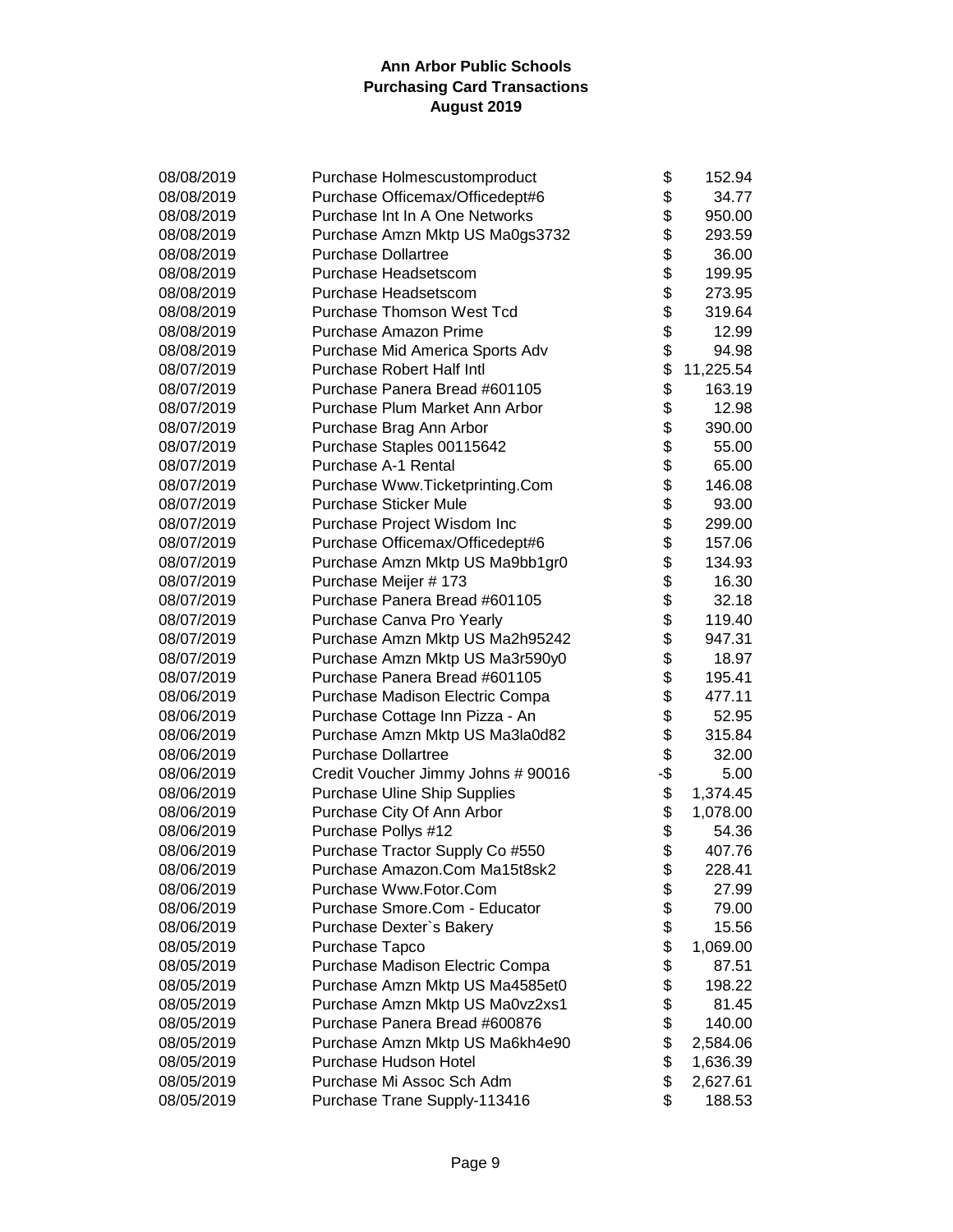| 08/08/2019 | Purchase Holmescustomproduct        | \$  | 152.94    |
|------------|-------------------------------------|-----|-----------|
| 08/08/2019 | Purchase Officemax/Officedept#6     | \$  | 34.77     |
| 08/08/2019 | Purchase Int In A One Networks      | \$  | 950.00    |
| 08/08/2019 | Purchase Amzn Mktp US Ma0gs3732     | \$  | 293.59    |
| 08/08/2019 | <b>Purchase Dollartree</b>          | \$  | 36.00     |
| 08/08/2019 | Purchase Headsetscom                | \$  | 199.95    |
| 08/08/2019 | Purchase Headsetscom                | \$  | 273.95    |
| 08/08/2019 | <b>Purchase Thomson West Tcd</b>    | \$  | 319.64    |
| 08/08/2019 | <b>Purchase Amazon Prime</b>        | \$  | 12.99     |
| 08/08/2019 | Purchase Mid America Sports Adv     | \$  | 94.98     |
| 08/07/2019 | <b>Purchase Robert Half Intl</b>    | \$  | 11,225.54 |
| 08/07/2019 | Purchase Panera Bread #601105       | \$  | 163.19    |
| 08/07/2019 | Purchase Plum Market Ann Arbor      | \$  | 12.98     |
| 08/07/2019 | Purchase Brag Ann Arbor             | \$  | 390.00    |
| 08/07/2019 | Purchase Staples 00115642           | \$  | 55.00     |
| 08/07/2019 | <b>Purchase A-1 Rental</b>          | \$  | 65.00     |
| 08/07/2019 | Purchase Www.Ticketprinting.Com     | \$  | 146.08    |
| 08/07/2019 | <b>Purchase Sticker Mule</b>        | \$  | 93.00     |
| 08/07/2019 | Purchase Project Wisdom Inc         | \$  | 299.00    |
| 08/07/2019 | Purchase Officemax/Officedept#6     | \$  | 157.06    |
| 08/07/2019 | Purchase Amzn Mktp US Ma9bb1gr0     | \$  | 134.93    |
| 08/07/2019 | Purchase Meijer # 173               | \$  | 16.30     |
| 08/07/2019 | Purchase Panera Bread #601105       | \$  | 32.18     |
| 08/07/2019 | Purchase Canva Pro Yearly           | \$  | 119.40    |
| 08/07/2019 | Purchase Amzn Mktp US Ma2h95242     | \$  | 947.31    |
| 08/07/2019 | Purchase Amzn Mktp US Ma3r590y0     | \$  | 18.97     |
| 08/07/2019 | Purchase Panera Bread #601105       | \$  | 195.41    |
| 08/06/2019 | Purchase Madison Electric Compa     | \$  | 477.11    |
| 08/06/2019 | Purchase Cottage Inn Pizza - An     | \$  | 52.95     |
| 08/06/2019 | Purchase Amzn Mktp US Ma3la0d82     | \$  | 315.84    |
| 08/06/2019 | <b>Purchase Dollartree</b>          | \$  | 32.00     |
| 08/06/2019 | Credit Voucher Jimmy Johns # 90016  | -\$ | 5.00      |
| 08/06/2019 | <b>Purchase Uline Ship Supplies</b> | \$  | 1,374.45  |
| 08/06/2019 | Purchase City Of Ann Arbor          | \$  | 1,078.00  |
| 08/06/2019 | Purchase Pollys #12                 | \$  | 54.36     |
| 08/06/2019 | Purchase Tractor Supply Co #550     | \$  | 407.76    |
| 08/06/2019 | Purchase Amazon.Com Ma15t8sk2       | \$  | 228.41    |
| 08/06/2019 | Purchase Www.Fotor.Com              | \$  | 27.99     |
| 08/06/2019 | Purchase Smore.Com - Educator       | \$  | 79.00     |
| 08/06/2019 | Purchase Dexter's Bakery            | \$  | 15.56     |
| 08/05/2019 | Purchase Tapco                      | \$  | 1,069.00  |
| 08/05/2019 | Purchase Madison Electric Compa     | \$  | 87.51     |
| 08/05/2019 | Purchase Amzn Mktp US Ma4585et0     | \$  | 198.22    |
| 08/05/2019 | Purchase Amzn Mktp US Ma0vz2xs1     | \$  | 81.45     |
| 08/05/2019 | Purchase Panera Bread #600876       | \$  | 140.00    |
| 08/05/2019 | Purchase Amzn Mktp US Ma6kh4e90     | \$  | 2,584.06  |
| 08/05/2019 | Purchase Hudson Hotel               | \$  | 1,636.39  |
| 08/05/2019 | Purchase Mi Assoc Sch Adm           | \$  | 2,627.61  |
| 08/05/2019 | Purchase Trane Supply-113416        | \$  | 188.53    |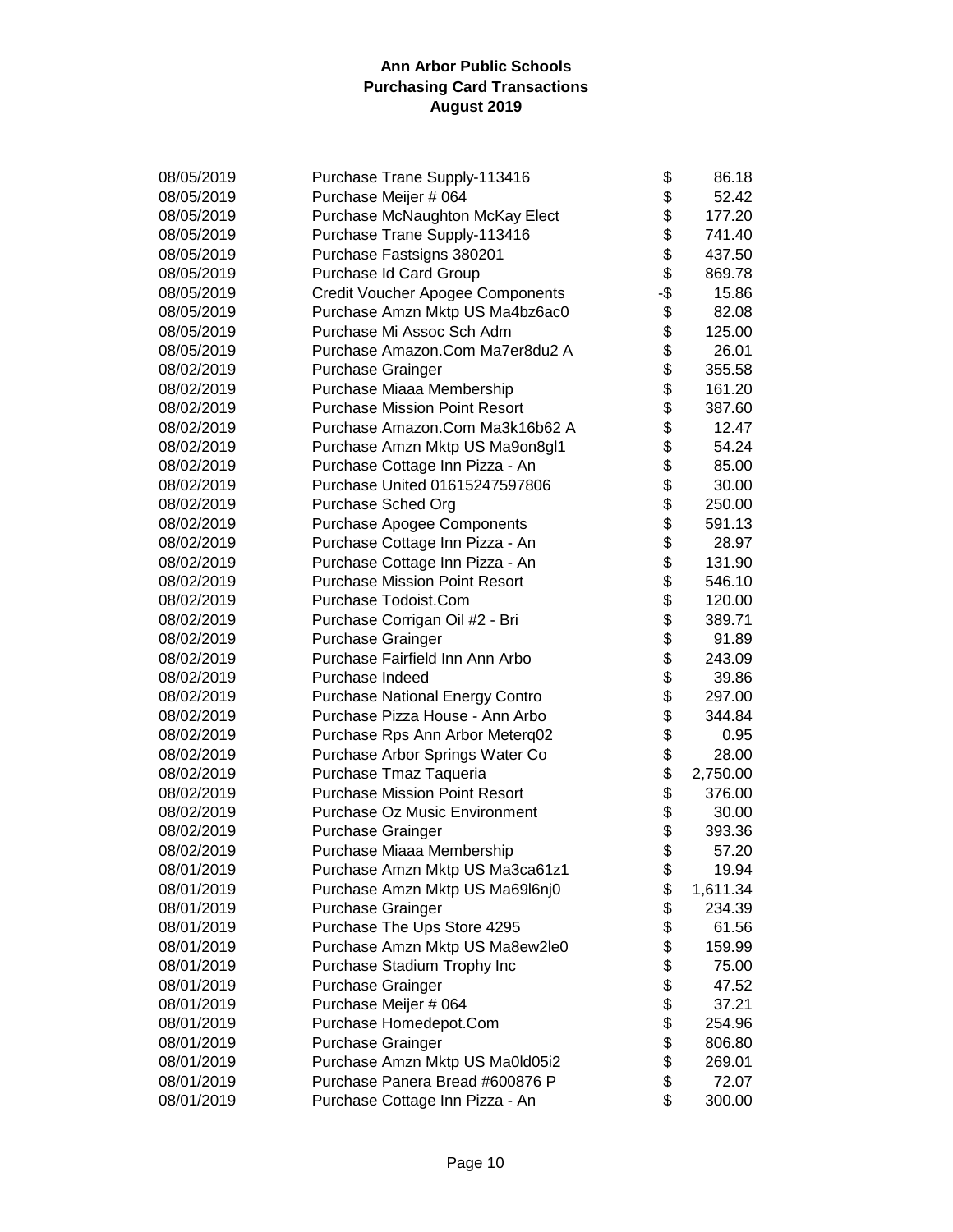| 08/05/2019 | Purchase Trane Supply-113416            | \$   | 86.18    |
|------------|-----------------------------------------|------|----------|
| 08/05/2019 | Purchase Meijer # 064                   | \$   | 52.42    |
| 08/05/2019 | Purchase McNaughton McKay Elect         | \$   | 177.20   |
| 08/05/2019 | Purchase Trane Supply-113416            | \$   | 741.40   |
| 08/05/2019 | Purchase Fastsigns 380201               | \$   | 437.50   |
| 08/05/2019 | Purchase Id Card Group                  | \$   | 869.78   |
| 08/05/2019 | <b>Credit Voucher Apogee Components</b> | .\$  | 15.86    |
| 08/05/2019 | Purchase Amzn Mktp US Ma4bz6ac0         | \$   | 82.08    |
| 08/05/2019 | Purchase Mi Assoc Sch Adm               |      | 125.00   |
| 08/05/2019 | Purchase Amazon.Com Ma7er8du2 A         | \$\$ | 26.01    |
| 08/02/2019 | <b>Purchase Grainger</b>                |      | 355.58   |
| 08/02/2019 | Purchase Miaaa Membership               | \$   | 161.20   |
| 08/02/2019 | <b>Purchase Mission Point Resort</b>    | \$   | 387.60   |
| 08/02/2019 | Purchase Amazon.Com Ma3k16b62 A         | \$   | 12.47    |
| 08/02/2019 | Purchase Amzn Mktp US Ma9on8gl1         | \$   | 54.24    |
| 08/02/2019 | Purchase Cottage Inn Pizza - An         | \$   | 85.00    |
| 08/02/2019 | Purchase United 01615247597806          | \$   | 30.00    |
| 08/02/2019 | Purchase Sched Org                      | \$   | 250.00   |
| 08/02/2019 | Purchase Apogee Components              | \$   | 591.13   |
| 08/02/2019 | Purchase Cottage Inn Pizza - An         | \$   | 28.97    |
| 08/02/2019 | Purchase Cottage Inn Pizza - An         | \$   | 131.90   |
| 08/02/2019 | <b>Purchase Mission Point Resort</b>    | \$   | 546.10   |
| 08/02/2019 | Purchase Todoist.Com                    | \$   | 120.00   |
| 08/02/2019 | Purchase Corrigan Oil #2 - Bri          | \$   | 389.71   |
| 08/02/2019 | <b>Purchase Grainger</b>                | \$   | 91.89    |
| 08/02/2019 | Purchase Fairfield Inn Ann Arbo         | \$   | 243.09   |
| 08/02/2019 | Purchase Indeed                         | \$   | 39.86    |
| 08/02/2019 | <b>Purchase National Energy Contro</b>  | \$   | 297.00   |
| 08/02/2019 | Purchase Pizza House - Ann Arbo         | \$   | 344.84   |
| 08/02/2019 | Purchase Rps Ann Arbor Meterq02         | \$   | 0.95     |
| 08/02/2019 | Purchase Arbor Springs Water Co         | \$   | 28.00    |
| 08/02/2019 | Purchase Tmaz Taqueria                  | \$   | 2,750.00 |
| 08/02/2019 | <b>Purchase Mission Point Resort</b>    | \$   | 376.00   |
| 08/02/2019 | <b>Purchase Oz Music Environment</b>    | \$   | 30.00    |
| 08/02/2019 | <b>Purchase Grainger</b>                | \$   | 393.36   |
| 08/02/2019 | Purchase Miaaa Membership               | \$   | 57.20    |
| 08/01/2019 | Purchase Amzn Mktp US Ma3ca61z1         | Φ    | 19.94    |
| 08/01/2019 | Purchase Amzn Mktp US Ma69l6nj0         | \$   | 1,611.34 |
| 08/01/2019 | <b>Purchase Grainger</b>                | \$   | 234.39   |
| 08/01/2019 | Purchase The Ups Store 4295             | \$   | 61.56    |
| 08/01/2019 | Purchase Amzn Mktp US Ma8ew2le0         | \$   | 159.99   |
| 08/01/2019 | Purchase Stadium Trophy Inc             | \$   | 75.00    |
| 08/01/2019 | <b>Purchase Grainger</b>                | \$   | 47.52    |
| 08/01/2019 | Purchase Meijer # 064                   | \$   | 37.21    |
| 08/01/2019 | Purchase Homedepot.Com                  | \$   | 254.96   |
| 08/01/2019 | <b>Purchase Grainger</b>                | \$   | 806.80   |
| 08/01/2019 | Purchase Amzn Mktp US Ma0ld05i2         | \$   | 269.01   |
| 08/01/2019 | Purchase Panera Bread #600876 P         | \$   | 72.07    |
| 08/01/2019 | Purchase Cottage Inn Pizza - An         | \$   | 300.00   |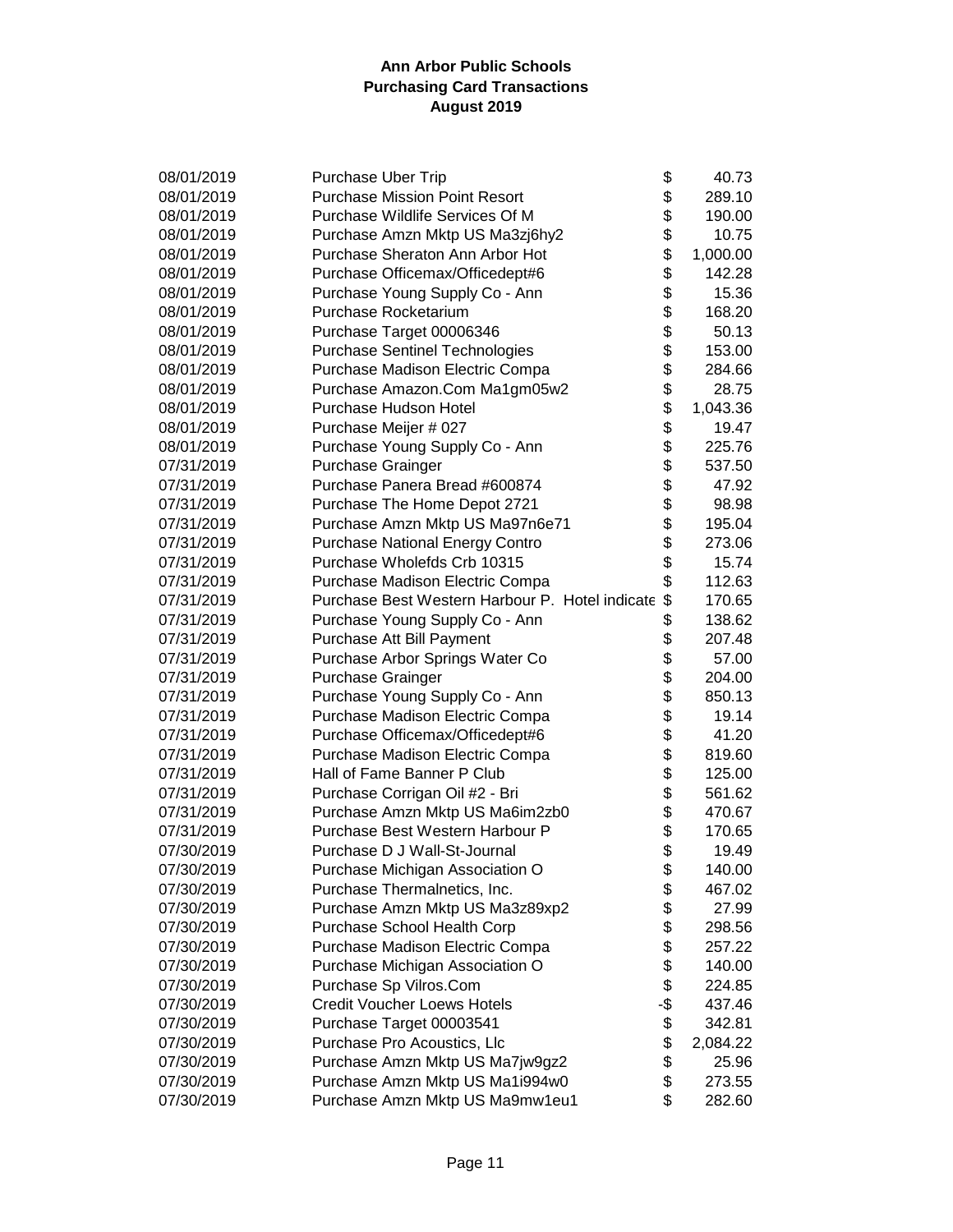| 08/01/2019 | <b>Purchase Uber Trip</b>                          | \$  | 40.73    |
|------------|----------------------------------------------------|-----|----------|
| 08/01/2019 | <b>Purchase Mission Point Resort</b>               | \$  | 289.10   |
| 08/01/2019 | Purchase Wildlife Services Of M                    | \$  | 190.00   |
| 08/01/2019 | Purchase Amzn Mktp US Ma3zj6hy2                    | \$  | 10.75    |
| 08/01/2019 | Purchase Sheraton Ann Arbor Hot                    | \$  | 1,000.00 |
| 08/01/2019 | Purchase Officemax/Officedept#6                    | \$  | 142.28   |
| 08/01/2019 | Purchase Young Supply Co - Ann                     | \$  | 15.36    |
| 08/01/2019 | Purchase Rocketarium                               | \$  | 168.20   |
| 08/01/2019 | Purchase Target 00006346                           |     | 50.13    |
| 08/01/2019 | <b>Purchase Sentinel Technologies</b>              | \$  | 153.00   |
| 08/01/2019 | Purchase Madison Electric Compa                    | \$  | 284.66   |
| 08/01/2019 | Purchase Amazon.Com Ma1gm05w2                      | \$  | 28.75    |
|            |                                                    |     |          |
| 08/01/2019 | Purchase Hudson Hotel                              | \$  | 1,043.36 |
| 08/01/2019 | Purchase Meijer # 027                              | \$  | 19.47    |
| 08/01/2019 | Purchase Young Supply Co - Ann                     | \$  | 225.76   |
| 07/31/2019 | <b>Purchase Grainger</b>                           | \$  | 537.50   |
| 07/31/2019 | Purchase Panera Bread #600874                      | \$  | 47.92    |
| 07/31/2019 | Purchase The Home Depot 2721                       | \$  | 98.98    |
| 07/31/2019 | Purchase Amzn Mktp US Ma97n6e71                    | \$  | 195.04   |
| 07/31/2019 | <b>Purchase National Energy Contro</b>             | \$  | 273.06   |
| 07/31/2019 | Purchase Wholefds Crb 10315                        | \$  | 15.74    |
| 07/31/2019 | Purchase Madison Electric Compa                    |     | 112.63   |
| 07/31/2019 | Purchase Best Western Harbour P. Hotel indicate \$ |     | 170.65   |
| 07/31/2019 | Purchase Young Supply Co - Ann                     |     | 138.62   |
| 07/31/2019 | Purchase Att Bill Payment                          |     | 207.48   |
| 07/31/2019 | Purchase Arbor Springs Water Co                    |     | 57.00    |
| 07/31/2019 | <b>Purchase Grainger</b>                           | \$  | 204.00   |
| 07/31/2019 | Purchase Young Supply Co - Ann                     | \$  | 850.13   |
| 07/31/2019 | Purchase Madison Electric Compa                    | \$  | 19.14    |
| 07/31/2019 | Purchase Officemax/Officedept#6                    | \$  | 41.20    |
| 07/31/2019 | Purchase Madison Electric Compa                    | \$  | 819.60   |
| 07/31/2019 | Hall of Fame Banner P Club                         | \$  | 125.00   |
| 07/31/2019 | Purchase Corrigan Oil #2 - Bri                     | \$  | 561.62   |
| 07/31/2019 | Purchase Amzn Mktp US Ma6im2zb0                    | \$  | 470.67   |
| 07/31/2019 | Purchase Best Western Harbour P                    | \$  | 170.65   |
|            |                                                    |     |          |
| 07/30/2019 | Purchase D J Wall-St-Journal                       | \$  | 19.49    |
| 07/30/2019 | Purchase Michigan Association O                    | \$  | 140.00   |
| 07/30/2019 | Purchase Thermalnetics, Inc.                       | \$  | 467.02   |
| 07/30/2019 | Purchase Amzn Mktp US Ma3z89xp2                    | \$  | 27.99    |
| 07/30/2019 | Purchase School Health Corp                        | \$  | 298.56   |
| 07/30/2019 | Purchase Madison Electric Compa                    | \$  | 257.22   |
| 07/30/2019 | Purchase Michigan Association O                    | \$  | 140.00   |
| 07/30/2019 | Purchase Sp Vilros.Com                             | \$  | 224.85   |
| 07/30/2019 | <b>Credit Voucher Loews Hotels</b>                 | -\$ | 437.46   |
| 07/30/2019 | Purchase Target 00003541                           | \$  | 342.81   |
| 07/30/2019 | Purchase Pro Acoustics, Llc                        | \$  | 2,084.22 |
| 07/30/2019 | Purchase Amzn Mktp US Ma7jw9gz2                    | \$  | 25.96    |
| 07/30/2019 | Purchase Amzn Mktp US Ma1i994w0                    | \$  | 273.55   |
| 07/30/2019 | Purchase Amzn Mktp US Ma9mw1eu1                    | \$  | 282.60   |